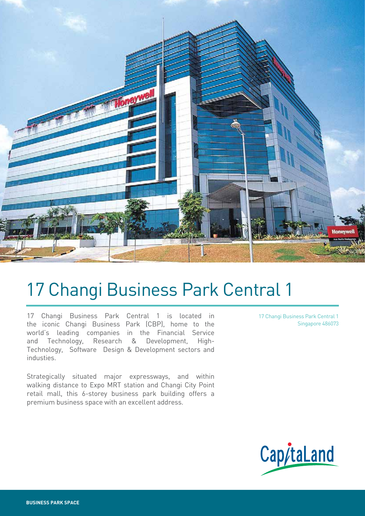

# 17 Changi Business Park Central 1

17 Changi Business Park Central 1 is located in the iconic Changi Business Park (CBP), home to the world's leading companies in the Financial Service and Technology, Research & Development, High-Technology, Software Design & Development sectors and industies.

Strategically situated major expressways, and within walking distance to Expo MRT station and Changi City Point retail mall, this 6-storey business park building offers a premium business space with an excellent address.

17 Changi Business Park Central 1 Singapore 486073